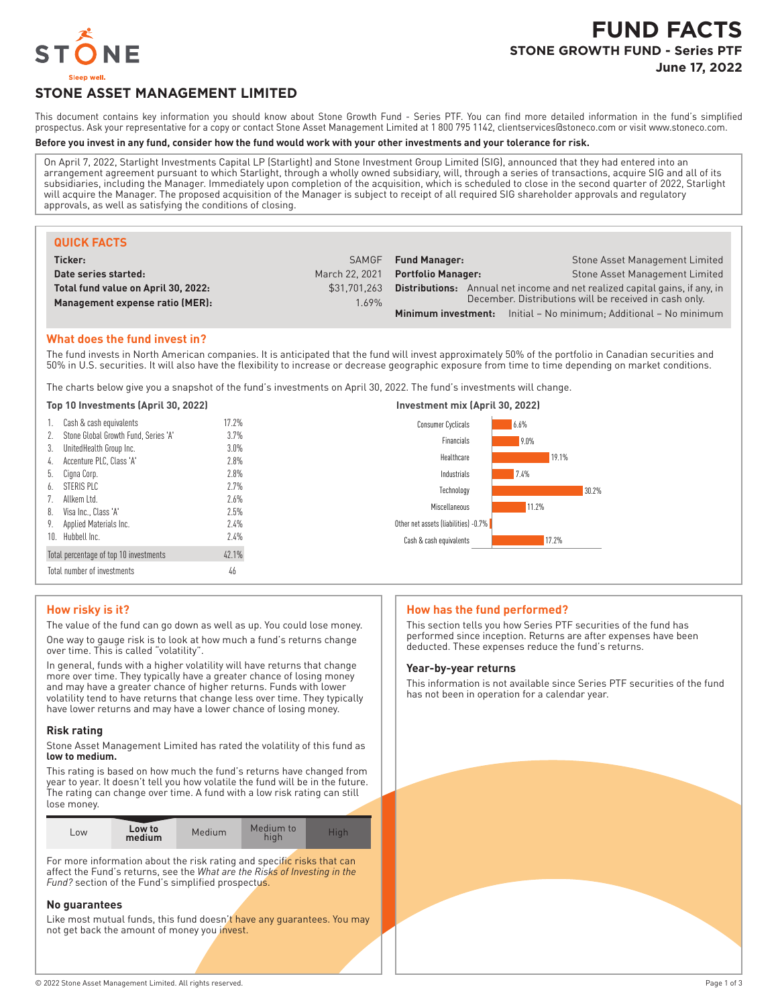

# **FUND FACTS STONE GROWTH FUND - Series PTF June 17, 2022**

# **STONE ASSET MANAGEMENT LIMITED**

This document contains key information you should know about Stone Growth Fund - Series PTF. You can find more detailed information in the fund's simplified prospectus. Ask your representative for a copy or contact Stone Asset Management Limited at 1 800 795 1142, clientservices@stoneco.com or visit www.stoneco.com.

#### **Before you invest in any fund, consider how the fund would work with your other investments and your tolerance for risk.**

On April 7, 2022, Starlight Investments Capital LP (Starlight) and Stone Investment Group Limited (SIG), announced that they had entered into an arrangement agreement pursuant to which Starlight, through a wholly owned subsidiary, will, through a series of transactions, acquire SIG and all of its subsidiaries, including the Manager. Immediately upon completion of the acquisition, which is scheduled to close in the second quarter of 2022, Starlight will acquire the Manager. The proposed acquisition of the Manager is subject to receipt of all required SIG shareholder approvals and regulatory approvals, as well as satisfying the conditions of closing.

| <b>QUICK FACTS</b>                  |                |                                                                                    |                                                                          |  |
|-------------------------------------|----------------|------------------------------------------------------------------------------------|--------------------------------------------------------------------------|--|
| Ticker:                             | <b>SAMGF</b>   | <b>Fund Manager:</b>                                                               | Stone Asset Management Limited                                           |  |
| Date series started:                | March 22, 2021 | <b>Portfolio Manager:</b>                                                          | Stone Asset Management Limited                                           |  |
| Total fund value on April 30, 2022: | \$31.701.263   | <b>Distributions:</b> Annual net income and net realized capital gains, if any, in |                                                                          |  |
| Management expense ratio (MER):     | 1.69%          | December. Distributions will be received in cash only.                             |                                                                          |  |
|                                     |                |                                                                                    | <b>Minimum investment:</b> Initial – No minimum; Additional – No minimum |  |

## **What does the fund invest in?**

The fund invests in North American companies. It is anticipated that the fund will invest approximately 50% of the portfolio in Canadian securities and 50% in U.S. securities. It will also have the flexibility to increase or decrease geographic exposure from time to time depending on market conditions.

The charts below give you a snapshot of the fund's investments on April 30, 2022. The fund's investments will change.

| Top 10 Investments (April 30, 2022)     |         | Investment mix (April 30, 2022)      |       |  |
|-----------------------------------------|---------|--------------------------------------|-------|--|
| 1. Cash & cash equivalents              | 17.2%   | <b>Consumer Cyclicals</b>            | 6.6%  |  |
| 2. Stone Global Growth Fund, Series 'A' | 3.7%    | Financials                           | 9.0%  |  |
| 3. UnitedHealth Group Inc.              | $3.0\%$ |                                      |       |  |
| 4. Accenture PLC, Class 'A'             | 2.8%    | Healthcare                           | 19.1% |  |
| b. Cigna Corp.                          | 2.8%    | Industrials                          | 7.4%  |  |
| 6. STERIS PLC                           | 2.7%    | Technology                           | 30.2% |  |
| 7. Allkem Ltd.                          | 2.6%    | Miscellaneous                        | 11.2% |  |
| 8. Visa Inc., Class 'A'                 | 2.5%    |                                      |       |  |
| 9. Applied Materials Inc.               | 2.4%    | Other net assets (liabilities) -0.7% |       |  |
| 10. Hubbell Inc.                        | 2.4%    | Cash & cash equivalents              | 17.2% |  |
| Total percentage of top 10 investments  | 42.1%   |                                      |       |  |
| Total number of investments             | 46      |                                      |       |  |

# **How risky is it?**

The value of the fund can go down as well as up. You could lose money.

One way to gauge risk is to look at how much a fund's returns change over time. This is called "volatility".

In general, funds with a higher volatility will have returns that change more over time. They typically have a greater chance of losing money and may have a greater chance of higher returns. Funds with lower volatility tend to have returns that change less over time. They typically have lower returns and may have a lower chance of losing money.

#### **Risk rating**

Stone Asset Management Limited has rated the volatility of this fund as **low to medium.**

This rating is based on how much the fund's returns have changed from year to year. It doesn't tell you how volatile the fund will be in the future. The rating can change over time. A fund with a low risk rating can still lose money.

| Low to<br>Medium<br>L <sub>OW</sub><br>medium | Medium to<br>Hiah<br>hiah |
|-----------------------------------------------|---------------------------|
|-----------------------------------------------|---------------------------|

For more information about the risk rating and specific risks that can affect the Fund's returns, see the *What are the Risks of Investing in the Fund?* section of the Fund's simplified prospectus.

#### **No guarantees**

Like most mutual funds, this fund doesn't have any guarantees. You may not get back the amount of money you invest.

## **How has the fund performed?**

This section tells you how Series PTF securities of the fund has performed since inception. Returns are after expenses have been deducted. These expenses reduce the fund's returns.

#### **Year-by-year returns**

This information is not available since Series PTF securities of the fund has not been in operation for a calendar year.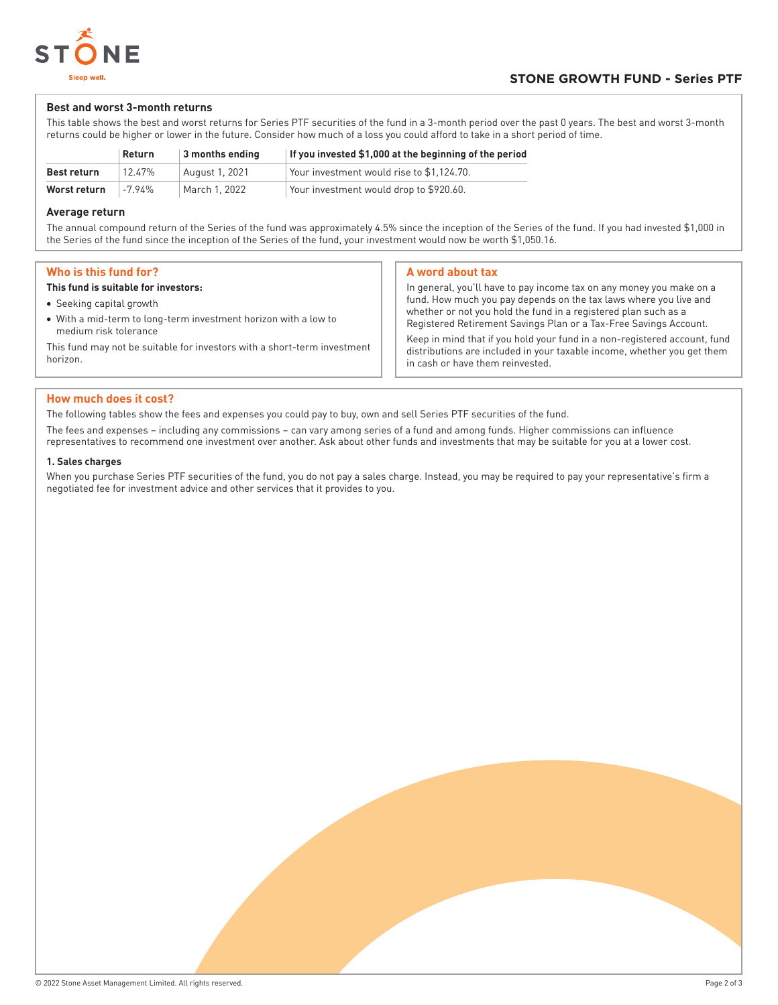

## **Best and worst 3-month returns**

This table shows the best and worst returns for Series PTF securities of the fund in a 3-month period over the past 0 years. The best and worst 3-month returns could be higher or lower in the future. Consider how much of a loss you could afford to take in a short period of time.

|              | Return  | 3 months ending | If you invested \$1,000 at the beginning of the period |
|--------------|---------|-----------------|--------------------------------------------------------|
| Best return  | 12.47%  | August 1, 2021  | Your investment would rise to \$1.124.70.              |
| Worst return | $-794%$ | March 1, 2022   | Your investment would drop to \$920.60.                |

## **Average return**

The annual compound return of the Series of the fund was approximately 4.5% since the inception of the Series of the fund. If you had invested \$1,000 in the Series of the fund since the inception of the Series of the fund, your investment would now be worth \$1,050.16.

## **Who is this fund for?**

#### **This fund is suitable for investors:**

- Seeking capital growth
- With a mid-term to long-term investment horizon with a low to medium risk tolerance

This fund may not be suitable for investors with a short-term investment horizon.

## **A word about tax**

In general, you'll have to pay income tax on any money you make on a fund. How much you pay depends on the tax laws where you live and whether or not you hold the fund in a registered plan such as a Registered Retirement Savings Plan or a Tax-Free Savings Account. Keep in mind that if you hold your fund in a non-registered account, fund distributions are included in your taxable income, whether you get them in cash or have them reinvested.

## **How much does it cost?**

The following tables show the fees and expenses you could pay to buy, own and sell Series PTF securities of the fund.

The fees and expenses – including any commissions – can vary among series of a fund and among funds. Higher commissions can influence representatives to recommend one investment over another. Ask about other funds and investments that may be suitable for you at a lower cost.

#### **1. Sales charges**

When you purchase Series PTF securities of the fund, you do not pay a sales charge. Instead, you may be required to pay your representative's firm a negotiated fee for investment advice and other services that it provides to you.